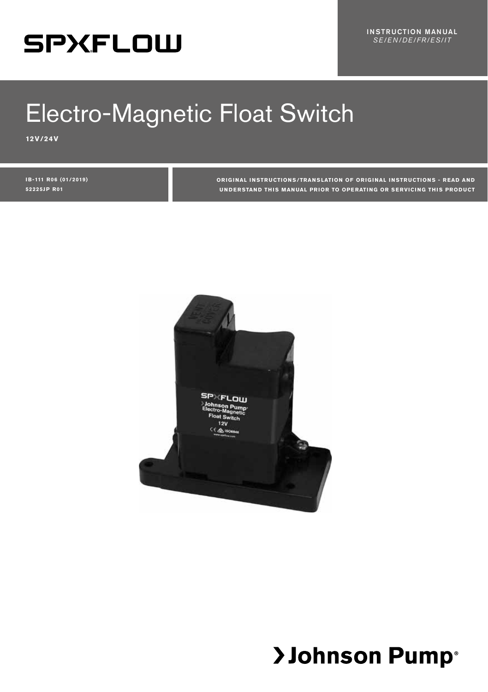# **SPXFLOW**

# Electro-Magnetic Float Switch

**12V/24V**

**IB-111 R06 (01/2019) 52225J P R01** 

**ORIGINAL INSTRUCTIONS/TRANSLATION OF ORIGINAL INSTRUCTIONS - READ AND UNDERSTAND THIS MANUAL PRIOR TO OPERATING OR SERVICING THIS PRODUCT**



## >Johnson Pump®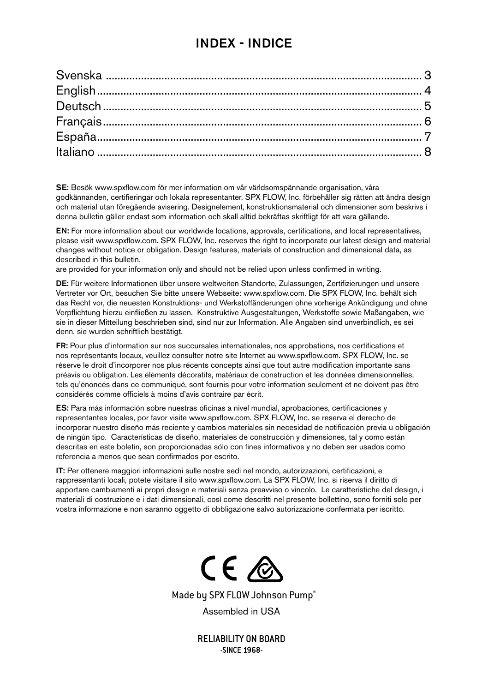#### INDEX - INDICE

SE: Besök www.spxflow.com för mer information om vår världsomspännande organisation, våra godkännanden, certifieringar och lokala representanter. SPX FLOW, Inc. förbehåller sig rätten att ändra design och material utan föregående avisering. Designelement, konstruktionsmaterial och dimensioner som beskrivs i denna bulletin gäller endast som information och skall alltid bekräftas skriftligt för att vara gällande.

EN: For more information about our worldwide locations, approvals, certifications, and local representatives, please visit www.spxflow.com. SPX FLOW, Inc. reserves the right to incorporate our latest design and material changes without notice or obligation. Design features, materials of construction and dimensional data, as described in this bulletin,

are provided for your information only and should not be relied upon unless confirmed in writing.

DE: Für weitere Informationen über unsere weltweiten Standorte, Zulassungen, Zertifizierungen und unsere Vertreter vor Ort, besuchen Sie bitte unsere Webseite: www.spxflow.com. Die SPX FLOW, Inc. behält sich das Recht vor, die neuesten Konstruktions- und Werkstoffänderungen ohne vorherige Ankündigung und ohne Verpflichtung hierzu einfließen zu lassen. Konstruktive Ausgestaltungen, Werkstoffe sowie Maßangaben, wie sie in dieser Mitteilung beschrieben sind, sind nur zur Information. Alle Angaben sind unverbindlich, es sei denn, sie wurden schriftlich bestätigt.

FR: Pour plus d'information sur nos succursales internationales, nos approbations, nos certifications et nos représentants locaux, veuillez consulter notre site Internet au www.spxflow.com. SPX FLOW, Inc. se réserve le droit d'incorporer nos plus récents concepts ainsi que tout autre modification importante sans préavis ou obligation. Les éléments décoratifs, matériaux de construction et les données dimensionnelles, tels qu'énoncés dans ce communiqué, sont fournis pour votre information seulement et ne doivent pas être considérés comme officiels à moins d'avis contraire par écrit.

ES: Para más información sobre nuestras oficinas a nivel mundial, aprobaciones, certificaciones y representantes locales, por favor visite www.spxflow.com. SPX FLOW, Inc. se reserva el derecho de incorporar nuestro diseño más reciente y cambios materiales sin necesidad de notificación previa u obligación de ningún tipo. Características de diseño, materiales de construcción y dimensiones, tal y como están descritas en este boletín, son proporcionadas sólo con fines informativos y no deben ser usados como referencia a menos que sean confirmados por escrito.

IT: Per ottenere maggiori informazioni sulle nostre sedi nel mondo, autorizzazioni, certificazioni, e rappresentanti locali, potete visitare il sito www.spxflow.com. La SPX FLOW, Inc. si riserva il diritto di apportare cambiamenti ai propri design e materiali senza preavviso o vincolo. Le caratteristiche del design, i materiali di costruzione e i dati dimensionali, così come descritti nel presente bollettino, sono forniti solo per vostra informazione e non saranno oggetto di obbligazione salvo autorizzazione confermata per iscritto.



Made by SPX FLOW Johnson Pump®

Assembled in USA

**RELIABILITY ON BOARD SINCE 1968-**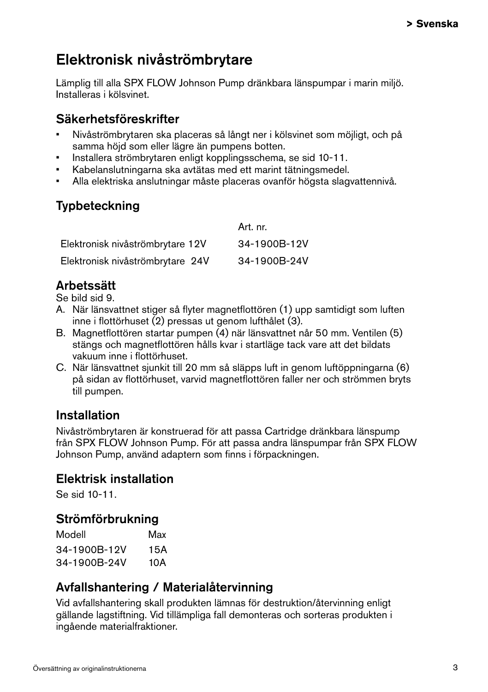## Elektronisk nivåströmbrytare

Lämplig till alla SPX FLOW Johnson Pump dränkbara länspumpar i marin miljö. Installeras i kölsvinet.

#### Säkerhetsföreskrifter

- Nivåströmbrytaren ska placeras så långt ner i kölsvinet som möjligt, och på samma höjd som eller lägre än pumpens botten.
- Installera strömbrytaren enligt kopplingsschema, se sid 10-11.
- Kabelanslutningarna ska avtätas med ett marint tätningsmedel.
- Alla elektriska anslutningar måste placeras ovanför högsta slagvattennivå.

## Typbeteckning

|                                  | Art. nr.     |
|----------------------------------|--------------|
| Elektronisk nivåströmbrytare 12V | 34-1900B-12V |
| Elektronisk nivåströmbrytare 24V | 34-1900B-24V |

#### Arbetssätt

Se bild sid 9.

- A. När länsvattnet stiger så flyter magnetflottören (1) upp samtidigt som luften inne i flottörhuset (2) pressas ut genom lufthålet (3).
- B. Magnetflottören startar pumpen (4) när länsvattnet når 50 mm. Ventilen (5) stängs och magnetflottören hålls kvar i startläge tack vare att det bildats vakuum inne i flottörhuset.
- C. När länsvattnet sjunkit till 20 mm så släpps luft in genom luftöppningarna (6) på sidan av flottörhuset, varvid magnetflottören faller ner och strömmen bryts till pumpen.

#### Installation

Nivåströmbrytaren är konstruerad för att passa Cartridge dränkbara länspump från SPX FLOW Johnson Pump. För att passa andra länspumpar från SPX FLOW Johnson Pump, använd adaptern som finns i förpackningen.

#### Elektrisk installation

Se sid 10-11.

#### Strömförbrukning

| Modell       | Max |
|--------------|-----|
| 34-1900B-12V | 15A |
| 34-1900B-24V | 10A |

#### Avfallshantering / Materialåtervinning

Vid avfallshantering skall produkten lämnas för destruktion/återvinning enligt gällande lagstiftning. Vid tillämpliga fall demonteras och sorteras produkten i ingående materialfraktioner.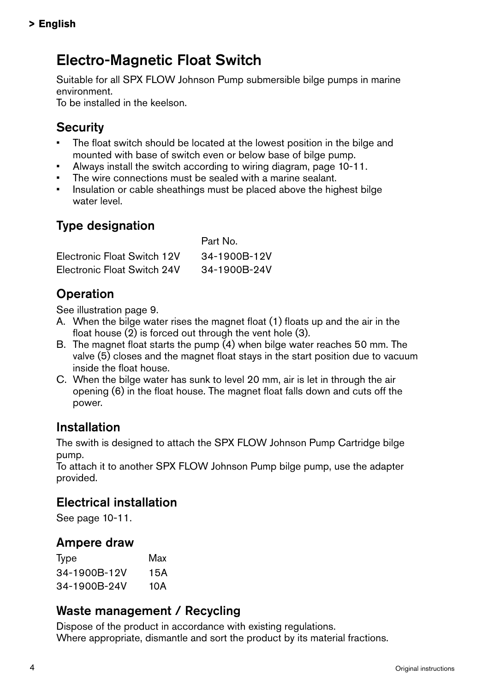## Electro-Magnetic Float Switch

Suitable for all SPX FLOW Johnson Pump submersible bilge pumps in marine environment.

To be installed in the keelson.

## **Security**

- The float switch should be located at the lowest position in the bilge and mounted with base of switch even or below base of bilge pump.
- Always install the switch according to wiring diagram, page 10-11.
- The wire connections must be sealed with a marine sealant.
- Insulation or cable sheathings must be placed above the highest bilge water level

#### Type designation

|                             | Part No.     |
|-----------------------------|--------------|
| Electronic Float Switch 12V | 34-1900B-12V |
| Electronic Float Switch 24V | 34-1900B-24V |

#### **Operation**

See illustration page 9.

- A. When the bilge water rises the magnet float (1) floats up and the air in the float house  $(2)$  is forced out through the vent hole  $(3)$ .
- B. The magnet float starts the pump (4) when bilge water reaches 50 mm. The valve (5) closes and the magnet float stays in the start position due to vacuum inside the float house.
- C. When the bilge water has sunk to level 20 mm, air is let in through the air opening (6) in the float house. The magnet float falls down and cuts off the power.

#### Installation

The swith is designed to attach the SPX FLOW Johnson Pump Cartridge bilge pump.

To attach it to another SPX FLOW Johnson Pump bilge pump, use the adapter provided.

#### Electrical installation

See page 10-11.

#### Ampere draw

| Type         | Max |
|--------------|-----|
| 34-1900B-12V | 15A |
| 34-1900B-24V | 10A |

#### Waste management / Recycling

Dispose of the product in accordance with existing regulations. Where appropriate, dismantle and sort the product by its material fractions.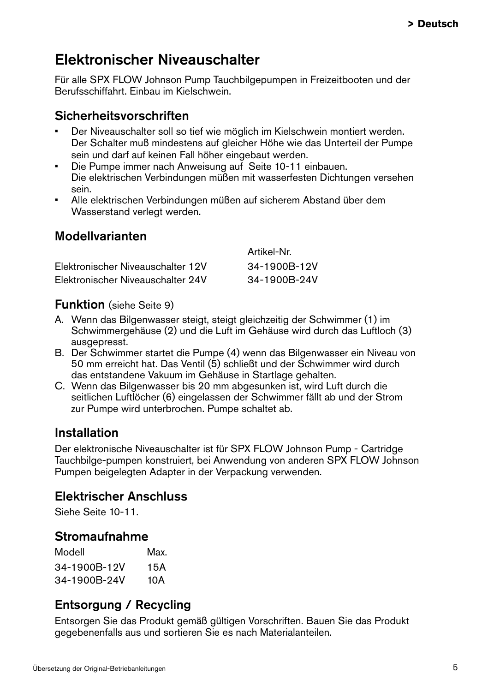## Elektronischer Niveauschalter

Für alle SPX FLOW Johnson Pump Tauchbilgepumpen in Freizeitbooten und der Berufsschiffahrt. Einbau im Kielschwein.

#### **Sicherheitsvorschriften**

- Der Niveauschalter soll so tief wie möglich im Kielschwein montiert werden. Der Schalter muß mindestens auf gleicher Höhe wie das Unterteil der Pumpe sein und darf auf keinen Fall höher eingebaut werden.
- Die Pumpe immer nach Anweisung auf Seite 10-11 einbauen. Die elektrischen Verbindungen müßen mit wasserfesten Dichtungen versehen sein.
- Alle elektrischen Verbindungen müßen auf sicherem Abstand über dem Wasserstand verlegt werden.

#### Modellvarianten

|                                   | Artikel-Nr.  |
|-----------------------------------|--------------|
| Elektronischer Niveauschalter 12V | 34-1900B-12V |
| Elektronischer Niveauschalter 24V | 34-1900B-24V |

#### Funktion (siehe Seite 9)

- A. Wenn das Bilgenwasser steigt, steigt gleichzeitig der Schwimmer (1) im Schwimmergehäuse (2) und die Luft im Gehäuse wird durch das Luftloch (3) ausgepresst.
- B. Der Schwimmer startet die Pumpe (4) wenn das Bilgenwasser ein Niveau von 50 mm erreicht hat. Das Ventil (5) schließt und der Schwimmer wird durch das entstandene Vakuum im Gehäuse in Startlage gehalten.
- C. Wenn das Bilgenwasser bis 20 mm abgesunken ist, wird Luft durch die seitlichen Luftlöcher (6) eingelassen der Schwimmer fällt ab und der Strom zur Pumpe wird unterbrochen. Pumpe schaltet ab.

#### Installation

Der elektronische Niveauschalter ist für SPX FLOW Johnson Pump - Cartridge Tauchbilge-pumpen konstruiert, bei Anwendung von anderen SPX FLOW Johnson Pumpen beigelegten Adapter in der Verpackung verwenden.

#### Elektrischer Anschluss

Siehe Seite 10-11.

#### Stromaufnahme

| Modell       | Max. |
|--------------|------|
| 34-1900B-12V | 15A  |
| 34-1900B-24V | 10A  |

## Entsorgung / Recycling

Entsorgen Sie das Produkt gemäß gültigen Vorschriften. Bauen Sie das Produkt gegebenenfalls aus und sortieren Sie es nach Materialanteilen.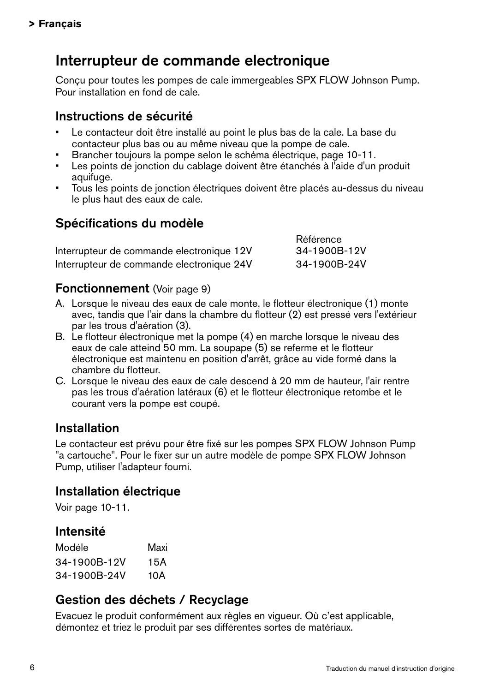## Interrupteur de commande electronique

Conçu pour toutes les pompes de cale immergeables SPX FLOW Johnson Pump. Pour installation en fond de cale.

#### Instructions de sécurité

- Le contacteur doit être installé au point le plus bas de la cale. La base du contacteur plus bas ou au même niveau que la pompe de cale.
- Brancher toujours la pompe selon le schéma électrique, page 10-11.
- Les points de jonction du cablage doivent être étanchés à l'aide d'un produit aquifuge.
- Tous les points de jonction électriques doivent être placés au-dessus du niveau le plus haut des eaux de cale.

#### Spécifications du modèle

|                                           | Référence    |
|-------------------------------------------|--------------|
| Interrupteur de commande electronique 12V | 34-1900B-12V |
| Interrupteur de commande electronique 24V | 34-1900B-24V |

#### Fonctionnement (Voir page 9)

- A. Lorsque le niveau des eaux de cale monte, le flotteur électronique (1) monte avec, tandis que l'air dans la chambre du flotteur (2) est pressé vers l'extérieur par les trous d'aération (3).
- B. Le flotteur électronique met la pompe (4) en marche lorsque le niveau des eaux de cale atteind 50 mm. La soupape (5) se referme et le flotteur électronique est maintenu en position d'arrêt, grâce au vide formé dans la chambre du flotteur.
- C. Lorsque le niveau des eaux de cale descend à 20 mm de hauteur, l'air rentre pas les trous d'aération latéraux (6) et le flotteur électronique retombe et le courant vers la pompe est coupé.

#### Installation

Le contacteur est prévu pour être fixé sur les pompes SPX FLOW Johnson Pump "a cartouche". Pour le fixer sur un autre modèle de pompe SPX FLOW Johnson Pump, utiliser l'adapteur fourni.

#### Installation électrique

Voir page 10-11.

#### Intensité

| Modéle       | Maxi |
|--------------|------|
| 34-1900B-12V | 15A  |
| 34-1900B-24V | 10A  |

#### Gestion des déchets / Recyclage

Evacuez le produit conformément aux règles en vigueur. Où c'est applicable, démontez et triez le produit par ses différentes sortes de matériaux.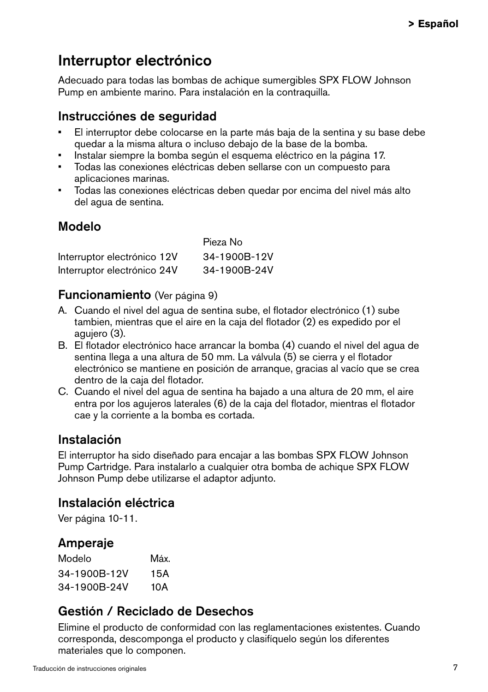## Interruptor electrónico

Adecuado para todas las bombas de achique sumergibles SPX FLOW Johnson Pump en ambiente marino. Para instalación en la contraquilla.

#### Instrucciónes de seguridad

- El interruptor debe colocarse en la parte más baja de la sentina y su base debe quedar a la misma altura o incluso debajo de la base de la bomba.
- Instalar siempre la bomba según el esquema eléctrico en la página 17.
- Todas las conexiones eléctricas deben sellarse con un compuesto para aplicaciones marinas.
- Todas las conexiones eléctricas deben quedar por encima del nivel más alto del agua de sentina.

## Modelo

|                             | Pieza No     |
|-----------------------------|--------------|
| Interruptor electrónico 12V | 34-1900B-12V |
| Interruptor electrónico 24V | 34-1900B-24V |

#### Funcionamiento (Ver página 9)

- A. Cuando el nivel del agua de sentina sube, el flotador electrónico (1) sube tambien, mientras que el aire en la caja del flotador (2) es expedido por el agujero (3).
- B. El flotador electrónico hace arrancar la bomba (4) cuando el nivel del agua de sentina llega a una altura de 50 mm. La válvula (5) se cierra y el flotador electrónico se mantiene en posición de arranque, gracias al vacío que se crea dentro de la caja del flotador.
- C. Cuando el nivel del agua de sentina ha bajado a una altura de 20 mm, el aire entra por los agujeros laterales (6) de la caja del flotador, mientras el flotador cae y la corriente a la bomba es cortada.

## Instalación

El interruptor ha sido diseñado para encajar a las bombas SPX FLOW Johnson Pump Cartridge. Para instalarlo a cualquier otra bomba de achique SPX FLOW Johnson Pump debe utilizarse el adaptor adjunto.

#### Instalación eléctrica

Ver página 10-11.

#### Amperaje

| Modelo       | Máx. |
|--------------|------|
| 34-1900B-12V | 15A  |
| 34-1900B-24V | 10A  |

## Gestión / Reciclado de Desechos

Elimine el producto de conformidad con las reglamentaciones existentes. Cuando corresponda, descomponga el producto y clasifíquelo según los diferentes materiales que lo componen.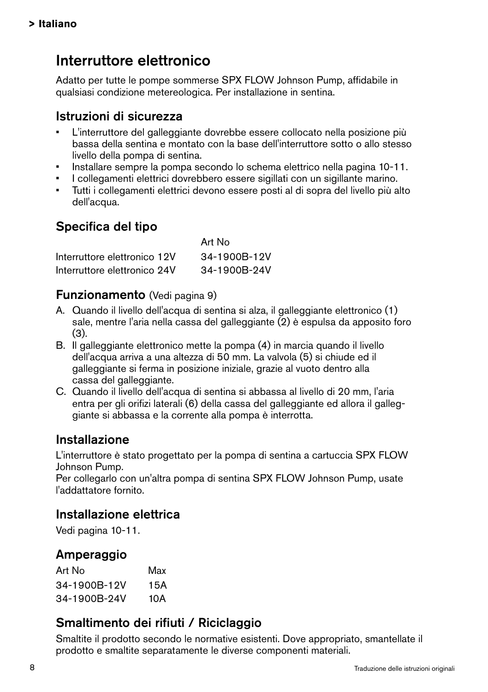## Interruttore elettronico

Adatto per tutte le pompe sommerse SPX FLOW Johnson Pump, affidabile in qualsiasi condizione metereologica. Per installazione in sentina.

#### Istruzioni di sicurezza

- L'interruttore del galleggiante dovrebbe essere collocato nella posizione più bassa della sentina e montato con la base dell'interruttore sotto o allo stesso livello della pompa di sentina.
- Installare sempre la pompa secondo lo schema elettrico nella pagina 10-11.
- I collegamenti elettrici dovrebbero essere sigillati con un sigillante marino.
- Tutti i collegamenti elettrici devono essere posti al di sopra del livello più alto dell'acqua.

## Specifica del tipo

|                              | Art No       |
|------------------------------|--------------|
| Interruttore elettronico 12V | 34-1900B-12V |
| Interruttore elettronico 24V | 34-1900B-24V |

#### Funzionamento (Vedi pagina 9)

- A. Quando il livello dell'acqua di sentina si alza, il galleggiante elettronico (1) sale, mentre l'aria nella cassa del galleggiante (2) è espulsa da apposito foro (3).
- B. Il galleggiante elettronico mette la pompa (4) in marcia quando il livello dell'acqua arriva a una altezza di 50 mm. La valvola (5) si chiude ed il galleggiante si ferma in posizione iniziale, grazie al vuoto dentro alla cassa del galleggiante.
- C. Quando il livello dell'acqua di sentina si abbassa al livello di 20 mm, l'aria entra per gli orifizi laterali (6) della cassa del galleggiante ed allora il galleggiante si abbassa e la corrente alla pompa è interrotta.

#### Installazione

L'interruttore è stato progettato per la pompa di sentina a cartuccia SPX FLOW Johnson Pump.

Per collegarlo con un'altra pompa di sentina SPX FLOW Johnson Pump, usate l'addattatore fornito.

#### Installazione elettrica

Vedi pagina 10-11.

#### Amperaggio

| Art No       | Max |
|--------------|-----|
| 34-1900B-12V | 15A |
| 34-1900B-24V | 10A |

## Smaltimento dei rifiuti / Riciclaggio

Smaltite il prodotto secondo le normative esistenti. Dove appropriato, smantellate il prodotto e smaltite separatamente le diverse componenti materiali.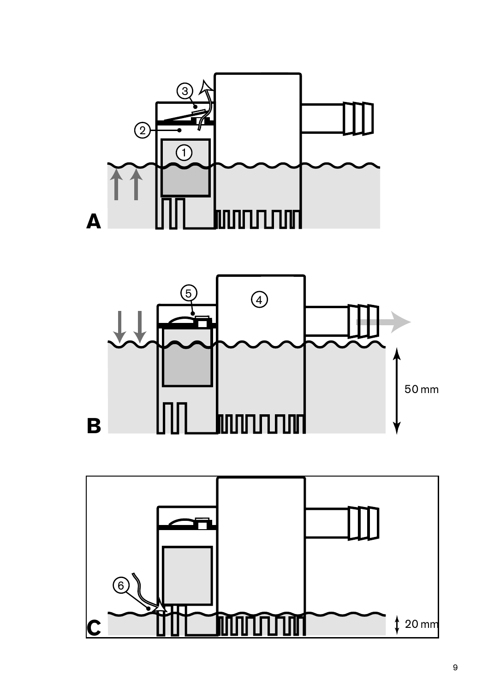



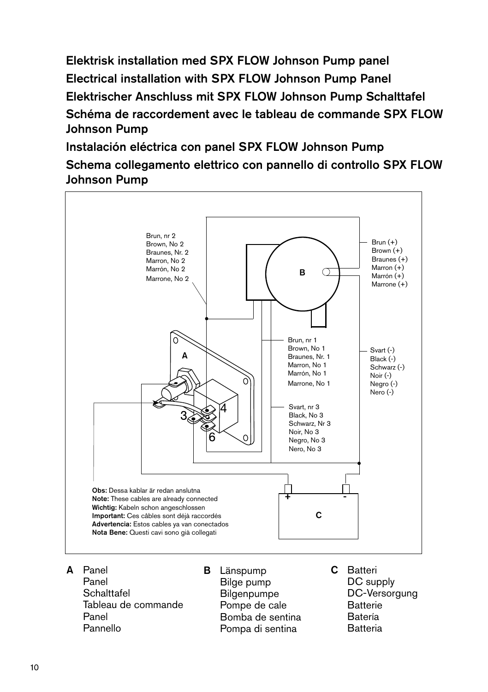Elektrisk installation med SPX FLOW Johnson Pump panel Electrical installation with SPX FLOW Johnson Pump Panel Elektrischer Anschluss mit SPX FLOW Johnson Pump Schalttafel Schéma de raccordement avec le tableau de commande SPX FLOW Johnson Pump

Instalación eléctrica con panel SPX FLOW Johnson Pump

Schema collegamento elettrico con pannello di controllo SPX FLOW Johnson Pump



- A Panel Panel **Schalttafel** Tableau de commande Panel Pannello
- B Länspump Bilge pump **Bilgenpumpe** Pompe de cale Bomba de sentina Pompa di sentina
- C Batteri DC supply DC-Versorgung Batterie Batería Batteria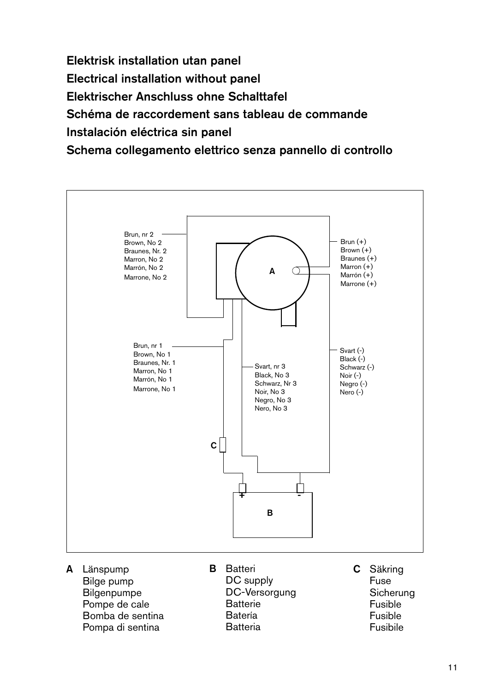Elektrisk installation utan panel Electrical installation without panel Elektrischer Anschluss ohne Schalttafel Schéma de raccordement sans tableau de commande Instalación eléctrica sin panel Schema collegamento elettrico senza pannello di controllo



- A Länspump Bilge pump **Bilgenpumpe** Pompe de cale Bomba de sentina Pompa di sentina
- B Batteri DC supply DC-Versorgung Batterie Batería Batteria
- C Säkring Fuse Sicherung Fusible Fusible Fusibile